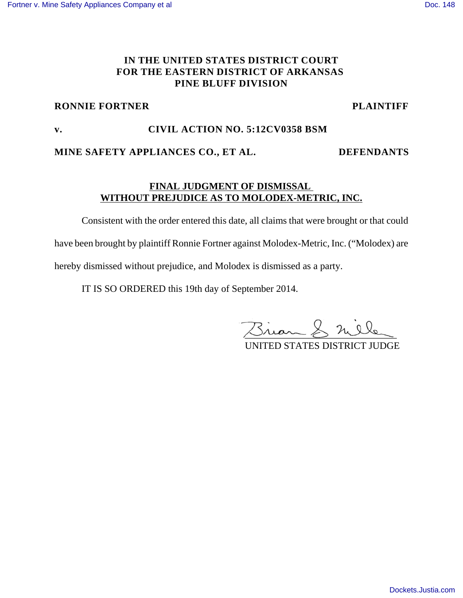# **IN THE UNITED STATES DISTRICT COURT FOR THE EASTERN DISTRICT OF ARKANSAS PINE BLUFF DIVISION**

### **RONNIE FORTNER PLAINTIFF**

# **v. CIVIL ACTION NO. 5:12CV0358 BSM**

### **MINE SAFETY APPLIANCES CO., ET AL. DEFENDANTS**

# **FINAL JUDGMENT OF DISMISSAL WITHOUT PREJUDICE AS TO MOLODEX-METRIC, INC.**

Consistent with the order entered this date, all claims that were brought or that could have been brought by plaintiff Ronnie Fortner against Molodex-Metric, Inc. ("Molodex) are hereby dismissed without prejudice, and Molodex is dismissed as a party.

IT IS SO ORDERED this 19th day of September 2014.

Brian & mile

UNITED STATES DISTRICT JUDGE